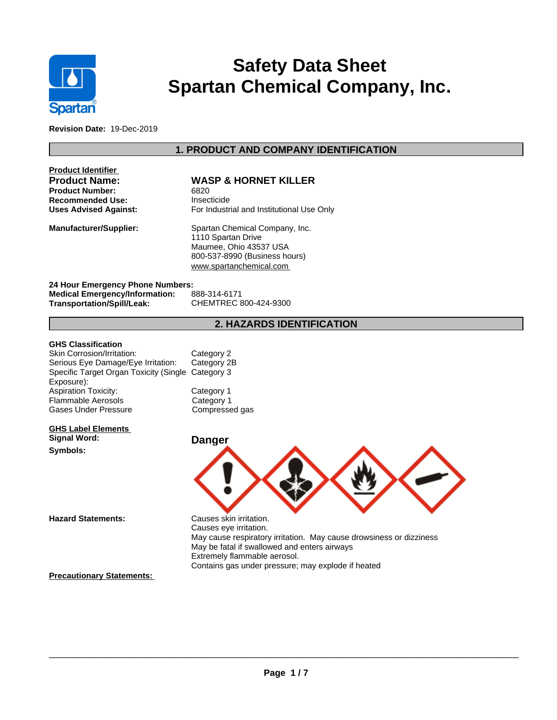

# **Safety Data Sheet Spartan Chemical Company, Inc.**

**Revision Date:** 19-Dec-2019

### **1. PRODUCT AND COMPANY IDENTIFICATION**

| <b>WASP &amp; HORNET KIL</b>    |
|---------------------------------|
| 6820                            |
| Insecticide                     |
| For Industrial and Institutiona |
|                                 |

# **WASP & HORNET KILLER**<br>6820

**Insecticide Uses Advised Against:** For Industrial and Institutional Use Only

**Manufacturer/Supplier:** Spartan Chemical Company, Inc. 1110 Spartan Drive Maumee, Ohio 43537 USA 800-537-8990 (Business hours) <www.spartanchemical.com>

**24 Hour Emergency Phone Numbers: Medical Emergency/Information: Transportation/Spill/Leak:** CHEMTREC 800-424-9300

### **2. HAZARDS IDENTIFICATION**

### **GHS Classification**

Skin Corrosion/Irritation: Category 2 Serious Eye Damage/Eye Irritation: Category 2B Specific Target Organ Toxicity (Single Category 3 Exposure): Aspiration Toxicity: Category 1 Gases Under Pressure Flammable Aerosols

### **GHS Label Elements Signal Word: Danger**

**Symbols:**

Category 1 Compressed gas



 $\overline{\phantom{a}}$  ,  $\overline{\phantom{a}}$  ,  $\overline{\phantom{a}}$  ,  $\overline{\phantom{a}}$  ,  $\overline{\phantom{a}}$  ,  $\overline{\phantom{a}}$  ,  $\overline{\phantom{a}}$  ,  $\overline{\phantom{a}}$  ,  $\overline{\phantom{a}}$  ,  $\overline{\phantom{a}}$  ,  $\overline{\phantom{a}}$  ,  $\overline{\phantom{a}}$  ,  $\overline{\phantom{a}}$  ,  $\overline{\phantom{a}}$  ,  $\overline{\phantom{a}}$  ,  $\overline{\phantom{a}}$ 

**Hazard Statements:** Causes skin irritation. Causes eye irritation. May cause respiratory irritation. May cause drowsiness or dizziness May be fatal if swallowed and enters airways Extremely flammable aerosol. Contains gas under pressure; may explode if heated

### **Precautionary Statements:**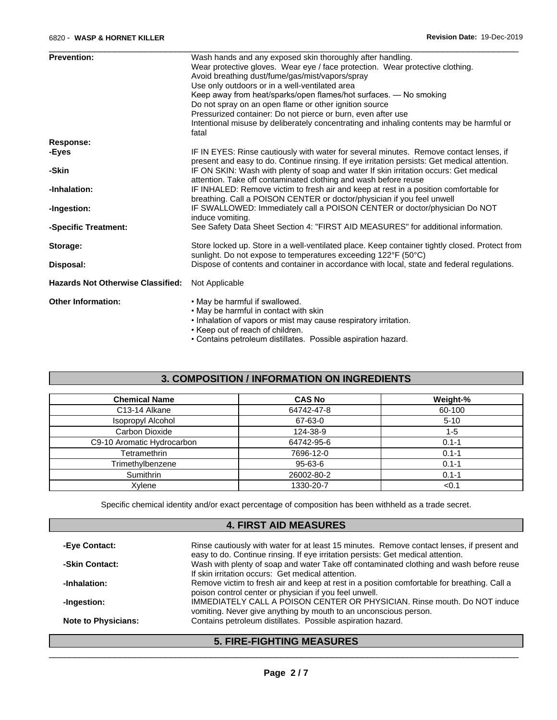| <b>Prevention:</b>                       | Wash hands and any exposed skin thoroughly after handling.                                                                                                                             |
|------------------------------------------|----------------------------------------------------------------------------------------------------------------------------------------------------------------------------------------|
|                                          | Wear protective gloves. Wear eye / face protection. Wear protective clothing.                                                                                                          |
|                                          | Avoid breathing dust/fume/gas/mist/vapors/spray                                                                                                                                        |
|                                          | Use only outdoors or in a well-ventilated area                                                                                                                                         |
|                                          | Keep away from heat/sparks/open flames/hot surfaces. - No smoking                                                                                                                      |
|                                          | Do not spray on an open flame or other ignition source                                                                                                                                 |
|                                          | Pressurized container: Do not pierce or burn, even after use                                                                                                                           |
|                                          | Intentional misuse by deliberately concentrating and inhaling contents may be harmful or<br>fatal                                                                                      |
| <b>Response:</b>                         |                                                                                                                                                                                        |
| -Eyes                                    | IF IN EYES: Rinse cautiously with water for several minutes. Remove contact lenses, if<br>present and easy to do. Continue rinsing. If eye irritation persists: Get medical attention. |
| -Skin                                    | IF ON SKIN: Wash with plenty of soap and water If skin irritation occurs: Get medical<br>attention. Take off contaminated clothing and wash before reuse                               |
| -Inhalation:                             | IF INHALED: Remove victim to fresh air and keep at rest in a position comfortable for<br>breathing. Call a POISON CENTER or doctor/physician if you feel unwell                        |
| -Ingestion:                              | IF SWALLOWED: Immediately call a POISON CENTER or doctor/physician Do NOT<br>induce vomiting.                                                                                          |
| -Specific Treatment:                     | See Safety Data Sheet Section 4: "FIRST AID MEASURES" for additional information.                                                                                                      |
| Storage:                                 | Store locked up. Store in a well-ventilated place. Keep container tightly closed. Protect from<br>sunlight. Do not expose to temperatures exceeding 122°F (50°C)                       |
| Disposal:                                | Dispose of contents and container in accordance with local, state and federal regulations.                                                                                             |
| <b>Hazards Not Otherwise Classified:</b> | Not Applicable                                                                                                                                                                         |
| <b>Other Information:</b>                | • May be harmful if swallowed.                                                                                                                                                         |
|                                          | • May be harmful in contact with skin                                                                                                                                                  |
|                                          | . Inhalation of vapors or mist may cause respiratory irritation.                                                                                                                       |
|                                          | • Keep out of reach of children.                                                                                                                                                       |

 $\overline{\phantom{a}}$  ,  $\overline{\phantom{a}}$  ,  $\overline{\phantom{a}}$  ,  $\overline{\phantom{a}}$  ,  $\overline{\phantom{a}}$  ,  $\overline{\phantom{a}}$  ,  $\overline{\phantom{a}}$  ,  $\overline{\phantom{a}}$  ,  $\overline{\phantom{a}}$  ,  $\overline{\phantom{a}}$  ,  $\overline{\phantom{a}}$  ,  $\overline{\phantom{a}}$  ,  $\overline{\phantom{a}}$  ,  $\overline{\phantom{a}}$  ,  $\overline{\phantom{a}}$  ,  $\overline{\phantom{a}}$ 

• Contains petroleum distillates. Possible aspiration hazard.

### **3. COMPOSITION / INFORMATION ON INGREDIENTS**

| <b>Chemical Name</b>       | <b>CAS No</b> | Weight-%  |
|----------------------------|---------------|-----------|
| C13-14 Alkane              | 64742-47-8    | 60-100    |
| Isopropyl Alcohol          | 67-63-0       | $5 - 10$  |
| Carbon Dioxide             | 124-38-9      | $1 - 5$   |
| C9-10 Aromatic Hydrocarbon | 64742-95-6    | $0.1 - 1$ |
| Tetramethrin               | 7696-12-0     | $0.1 - 1$ |
| Trimethylbenzene           | 95-63-6       | $0.1 - 1$ |
| Sumithrin                  | 26002-80-2    | $0.1 - 1$ |
| Xylene                     | 1330-20-7     | < 0.1     |

Specific chemical identity and/or exact percentage of composition has been withheld as a trade secret.

### **4. FIRST AID MEASURES**

| -Eye Contact:              | Rinse cautiously with water for at least 15 minutes. Remove contact lenses, if present and<br>easy to do. Continue rinsing. If eye irritation persists: Get medical attention. |
|----------------------------|--------------------------------------------------------------------------------------------------------------------------------------------------------------------------------|
| -Skin Contact:             | Wash with plenty of soap and water Take off contaminated clothing and wash before reuse<br>If skin irritation occurs: Get medical attention.                                   |
| -Inhalation:               | Remove victim to fresh air and keep at rest in a position comfortable for breathing. Call a<br>poison control center or physician if you feel unwell.                          |
| -Ingestion:                | <b>IMMEDIATELY CALL A POISON CENTER OR PHYSICIAN. Rinse mouth. Do NOT induce</b><br>vomiting. Never give anything by mouth to an unconscious person.                           |
| <b>Note to Physicians:</b> | Contains petroleum distillates. Possible aspiration hazard.                                                                                                                    |

### **5. FIRE-FIGHTING MEASURES**

 $\overline{\phantom{a}}$  ,  $\overline{\phantom{a}}$  ,  $\overline{\phantom{a}}$  ,  $\overline{\phantom{a}}$  ,  $\overline{\phantom{a}}$  ,  $\overline{\phantom{a}}$  ,  $\overline{\phantom{a}}$  ,  $\overline{\phantom{a}}$  ,  $\overline{\phantom{a}}$  ,  $\overline{\phantom{a}}$  ,  $\overline{\phantom{a}}$  ,  $\overline{\phantom{a}}$  ,  $\overline{\phantom{a}}$  ,  $\overline{\phantom{a}}$  ,  $\overline{\phantom{a}}$  ,  $\overline{\phantom{a}}$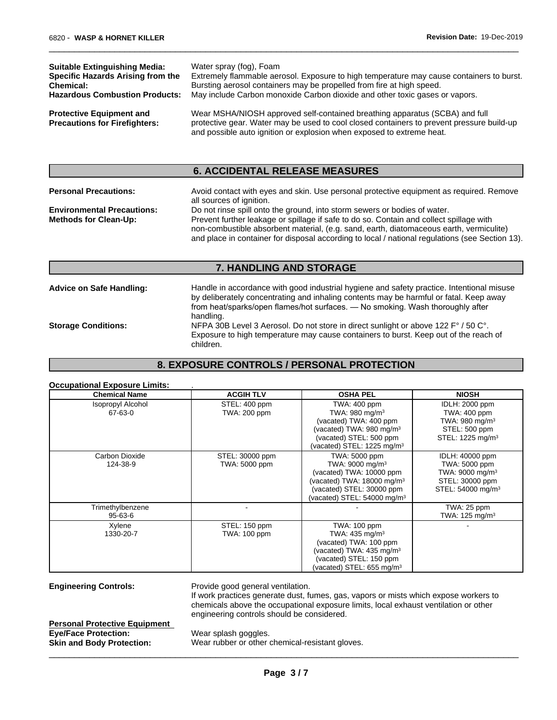| <b>Suitable Extinguishing Media:</b>                                    | Water spray (fog), Foam                                                                                                                                                                                                                           |
|-------------------------------------------------------------------------|---------------------------------------------------------------------------------------------------------------------------------------------------------------------------------------------------------------------------------------------------|
| Specific Hazards Arising from the                                       | Extremely flammable aerosol. Exposure to high temperature may cause containers to burst.                                                                                                                                                          |
| <b>Chemical:</b>                                                        | Bursting aerosol containers may be propelled from fire at high speed.                                                                                                                                                                             |
| <b>Hazardous Combustion Products:</b>                                   | May include Carbon monoxide Carbon dioxide and other toxic gases or vapors.                                                                                                                                                                       |
| <b>Protective Equipment and</b><br><b>Precautions for Firefighters:</b> | Wear MSHA/NIOSH approved self-contained breathing apparatus (SCBA) and full<br>protective gear. Water may be used to cool closed containers to prevent pressure build-up<br>and possible auto ignition or explosion when exposed to extreme heat. |

 $\overline{\phantom{a}}$  ,  $\overline{\phantom{a}}$  ,  $\overline{\phantom{a}}$  ,  $\overline{\phantom{a}}$  ,  $\overline{\phantom{a}}$  ,  $\overline{\phantom{a}}$  ,  $\overline{\phantom{a}}$  ,  $\overline{\phantom{a}}$  ,  $\overline{\phantom{a}}$  ,  $\overline{\phantom{a}}$  ,  $\overline{\phantom{a}}$  ,  $\overline{\phantom{a}}$  ,  $\overline{\phantom{a}}$  ,  $\overline{\phantom{a}}$  ,  $\overline{\phantom{a}}$  ,  $\overline{\phantom{a}}$ 

### **6. ACCIDENTAL RELEASE MEASURES**

| non-combustible absorbent material, (e.g. sand, earth, diatomaceous earth, vermiculite)<br>and place in container for disposal according to local / national regulations (see Section 13). |
|--------------------------------------------------------------------------------------------------------------------------------------------------------------------------------------------|
|                                                                                                                                                                                            |

| <b>Advice on Safe Handling:</b> | Handle in accordance with good industrial hygiene and safety practice. Intentional misuse |  |
|---------------------------------|-------------------------------------------------------------------------------------------|--|
|                                 | by deliberately concentrating and inhaling contents may be harmful or fatal. Keep away    |  |
|                                 | from heat/sparks/open flames/hot surfaces. — No smoking. Wash thoroughly after            |  |
|                                 | handling.                                                                                 |  |
| <b>Storage Conditions:</b>      | NFPA 30B Level 3 Aerosol. Do not store in direct sunlight or above 122 F° / 50 C°.        |  |
|                                 | Exposure to high temperature may cause containers to burst. Keep out of the reach of      |  |
|                                 | children.                                                                                 |  |

### **8. EXPOSURE CONTROLS / PERSONAL PROTECTION**

### **Occupational Exposure Limits:** .

| <b>Chemical Name</b>                | <b>ACGIH TLV</b>                 | <b>OSHA PEL</b>                                                                                                                                                                    | <b>NIOSH</b>                                                                                                        |
|-------------------------------------|----------------------------------|------------------------------------------------------------------------------------------------------------------------------------------------------------------------------------|---------------------------------------------------------------------------------------------------------------------|
| <b>Isopropyl Alcohol</b><br>67-63-0 | STEL: 400 ppm<br>TWA: 200 ppm    | TWA: 400 ppm<br>TWA: 980 mg/m <sup>3</sup><br>(vacated) TWA: 400 ppm<br>(vacated) TWA: 980 mg/m <sup>3</sup><br>(vacated) STEL: 500 ppm<br>(vacated) STEL: 1225 mg/m $3$           | <b>IDLH: 2000 ppm</b><br>TWA: 400 ppm<br>TWA: 980 mg/m $3$<br>STEL: 500 ppm<br>STEL: 1225 mg/m <sup>3</sup>         |
| Carbon Dioxide<br>124-38-9          | STEL: 30000 ppm<br>TWA: 5000 ppm | TWA: 5000 ppm<br>TWA: 9000 mg/m <sup>3</sup><br>(vacated) TWA: 10000 ppm<br>(vacated) TWA: $18000$ mg/m $3$<br>(vacated) STEL: 30000 ppm<br>(vacated) STEL: $54000 \text{ mg/m}^3$ | IDLH: 40000 ppm<br>TWA: 5000 ppm<br>TWA: 9000 mg/m <sup>3</sup><br>STEL: 30000 ppm<br>STEL: 54000 mg/m <sup>3</sup> |
| Trimethylbenzene<br>$95 - 63 - 6$   |                                  |                                                                                                                                                                                    | TWA: 25 ppm<br>TWA: $125 \text{ mg/m}^3$                                                                            |
| Xylene<br>1330-20-7                 | STEL: 150 ppm<br>TWA: 100 ppm    | TWA: 100 ppm<br>TWA: $435 \text{ mg/m}^3$<br>(vacated) TWA: 100 ppm<br>(vacated) TWA: $435 \text{ mg/m}^3$<br>(vacated) STEL: 150 ppm<br>(vacated) STEL: 655 mg/m <sup>3</sup>     |                                                                                                                     |

**Engineering Controls:** Provide good general ventilation.

If work practices generate dust, fumes, gas, vapors or mists which expose workers to chemicals above the occupational exposure limits, local exhaust ventilation or other engineering controls should be considered.

 $\overline{\phantom{a}}$  ,  $\overline{\phantom{a}}$  ,  $\overline{\phantom{a}}$  ,  $\overline{\phantom{a}}$  ,  $\overline{\phantom{a}}$  ,  $\overline{\phantom{a}}$  ,  $\overline{\phantom{a}}$  ,  $\overline{\phantom{a}}$  ,  $\overline{\phantom{a}}$  ,  $\overline{\phantom{a}}$  ,  $\overline{\phantom{a}}$  ,  $\overline{\phantom{a}}$  ,  $\overline{\phantom{a}}$  ,  $\overline{\phantom{a}}$  ,  $\overline{\phantom{a}}$  ,  $\overline{\phantom{a}}$ 

**Personal Protective Equipment Eye/Face Protection:** Wear splash goggles.

**Skin and Body Protection:** Wear rubber or other chemical-resistant gloves.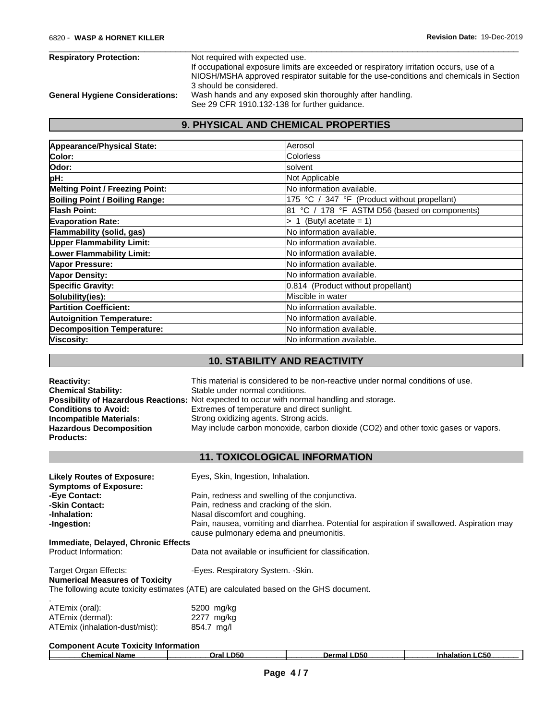| <b>Respiratory Protection:</b>         | Not required with expected use.                                                         |
|----------------------------------------|-----------------------------------------------------------------------------------------|
|                                        | If occupational exposure limits are exceeded or respiratory irritation occurs, use of a |
|                                        | NIOSH/MSHA approved respirator suitable for the use-conditions and chemicals in Section |
|                                        | 3 should be considered.                                                                 |
| <b>General Hygiene Considerations:</b> | Wash hands and any exposed skin thoroughly after handling.                              |
|                                        | See 29 CFR 1910.132-138 for further guidance.                                           |

## **9. PHYSICAL AND CHEMICAL PROPERTIES**

| Appearance/Physical State:             | Aerosol                                       |
|----------------------------------------|-----------------------------------------------|
| Color:                                 | <b>Colorless</b>                              |
| Odor:                                  | lsolvent                                      |
| pH:                                    | Not Applicable                                |
| <b>Melting Point / Freezing Point:</b> | No information available.                     |
| Boiling Point / Boiling Range:         | 175 °C / 347 °F (Product without propellant)  |
| Flash Point:                           | 81 °C / 178 °F ASTM D56 (based on components) |
| <b>Evaporation Rate:</b>               | (Butyl acetate = $1$ )<br>> 1                 |
| Flammability (solid, gas)              | No information available.                     |
| <b>Upper Flammability Limit:</b>       | No information available.                     |
| <b>Lower Flammability Limit:</b>       | No information available.                     |
| Vapor Pressure:                        | lNo information available.                    |
| <b>Vapor Density:</b>                  | No information available.                     |
| <b>Specific Gravity:</b>               | 0.814 (Product without propellant)            |
| Solubility(ies):                       | Miscible in water                             |
| <b>Partition Coefficient:</b>          | No information available.                     |
| <b>Autoignition Temperature:</b>       | No information available.                     |
| <b>Decomposition Temperature:</b>      | No information available.                     |
| Viscosity:                             | No information available.                     |

## **10. STABILITY AND REACTIVITY**

| <b>Reactivity:</b>             | This material is considered to be non-reactive under normal conditions of use.                     |
|--------------------------------|----------------------------------------------------------------------------------------------------|
| <b>Chemical Stability:</b>     | Stable under normal conditions.                                                                    |
|                                | <b>Possibility of Hazardous Reactions:</b> Not expected to occur with normal handling and storage. |
| <b>Conditions to Avoid:</b>    | Extremes of temperature and direct sunlight.                                                       |
| Incompatible Materials:        | Strong oxidizing agents. Strong acids.                                                             |
| <b>Hazardous Decomposition</b> | May include carbon monoxide, carbon dioxide (CO2) and other toxic gases or vapors.                 |
| <b>Products:</b>               |                                                                                                    |

### **11. TOXICOLOGICAL INFORMATION**

| <b>Likely Routes of Exposure:</b>     | Eyes, Skin, Ingestion, Inhalation.                                                                                                   |
|---------------------------------------|--------------------------------------------------------------------------------------------------------------------------------------|
| <b>Symptoms of Exposure:</b>          |                                                                                                                                      |
| -Eye Contact:                         | Pain, redness and swelling of the conjunctiva.                                                                                       |
| -Skin Contact:                        | Pain, redness and cracking of the skin.                                                                                              |
| -Inhalation:                          | Nasal discomfort and coughing.                                                                                                       |
| -Ingestion:                           | Pain, nausea, vomiting and diarrhea. Potential for aspiration if swallowed. Aspiration may<br>cause pulmonary edema and pneumonitis. |
| Immediate, Delayed, Chronic Effects   |                                                                                                                                      |
| Product Information:                  | Data not available or insufficient for classification.                                                                               |
| Target Organ Effects:                 | -Eyes. Respiratory System. - Skin.                                                                                                   |
| <b>Numerical Measures of Toxicity</b> |                                                                                                                                      |
|                                       | The following acute toxicity estimates (ATE) are calculated based on the GHS document.                                               |
| ATEmix (oral):                        | 5200 mg/kg                                                                                                                           |
| ATEmix (dermal):                      | 2277 mg/kg                                                                                                                           |
| ATEmix (inhalation-dust/mist):        | 854.7 mg/l                                                                                                                           |

| <b>Component Acute Toxicity Information</b> |      |        |            |  |  |  |
|---------------------------------------------|------|--------|------------|--|--|--|
| Chemical Name                               | D50  | D50    | C50        |  |  |  |
|                                             | วral | Dermal | Inhalatior |  |  |  |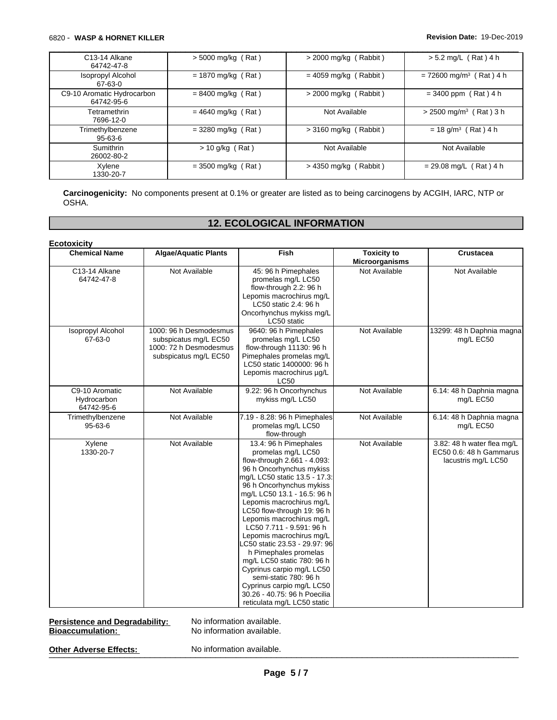### 6820 - **WASP & HORNET KILLER Revision Date:** 19-Dec-2019

| C <sub>13</sub> -14 Alkane<br>64742-47-8 | $>$ 5000 mg/kg (Rat) | $>$ 2000 mg/kg (Rabbit) | $> 5.2$ mg/L (Rat) 4 h                |
|------------------------------------------|----------------------|-------------------------|---------------------------------------|
| <b>Isopropyl Alcohol</b><br>67-63-0      | $= 1870$ mg/kg (Rat) | $= 4059$ mg/kg (Rabbit) | $= 72600$ mg/m <sup>3</sup> (Rat) 4 h |
| C9-10 Aromatic Hydrocarbon<br>64742-95-6 | $= 8400$ mg/kg (Rat) | $>$ 2000 mg/kg (Rabbit) | $= 3400$ ppm (Rat) 4 h                |
| Tetramethrin<br>7696-12-0                | $= 4640$ mg/kg (Rat) | Not Available           | $> 2500$ mg/m <sup>3</sup> (Rat) 3 h  |
| Trimethylbenzene<br>$95-63-6$            | $=$ 3280 mg/kg (Rat) | $>$ 3160 mg/kg (Rabbit) | $= 18$ g/m <sup>3</sup> (Rat) 4 h     |
| <b>Sumithrin</b><br>26002-80-2           | $> 10$ g/kg (Rat)    | Not Available           | Not Available                         |
| Xylene<br>1330-20-7                      | $=$ 3500 mg/kg (Rat) | $>$ 4350 mg/kg (Rabbit) | $= 29.08$ mg/L (Rat) 4 h              |

**Carcinogenicity:** No components present at 0.1% or greater are listed as to being carcinogens by ACGIH, IARC, NTP or OSHA.

### **12. ECOLOGICAL INFORMATION**

| <b>Chemical Name</b>                        | <b>Algae/Aquatic Plants</b>                                                                        | Fish                                                                                                                                                                                                                                                                                                                                                                                                                                                                                                                                                                                      | <b>Toxicity to</b><br>Microorganisms | Crustacea                                                                    |
|---------------------------------------------|----------------------------------------------------------------------------------------------------|-------------------------------------------------------------------------------------------------------------------------------------------------------------------------------------------------------------------------------------------------------------------------------------------------------------------------------------------------------------------------------------------------------------------------------------------------------------------------------------------------------------------------------------------------------------------------------------------|--------------------------------------|------------------------------------------------------------------------------|
| C13-14 Alkane<br>64742-47-8                 | Not Available                                                                                      | 45: 96 h Pimephales<br>promelas mg/L LC50<br>flow-through 2.2: 96 h<br>Lepomis macrochirus mg/L<br>LC50 static 2.4: 96 h<br>Oncorhynchus mykiss mg/L<br>LC50 static                                                                                                                                                                                                                                                                                                                                                                                                                       | Not Available                        | Not Available                                                                |
| <b>Isopropyl Alcohol</b><br>67-63-0         | 1000: 96 h Desmodesmus<br>subspicatus mg/L EC50<br>1000: 72 h Desmodesmus<br>subspicatus mg/L EC50 | 9640: 96 h Pimephales<br>promelas mg/L LC50<br>flow-through 11130: 96 h<br>Pimephales promelas mg/L<br>LC50 static 1400000: 96 h<br>Lepomis macrochirus µg/L<br><b>LC50</b>                                                                                                                                                                                                                                                                                                                                                                                                               | Not Available                        | 13299: 48 h Daphnia magna<br>mg/L EC50                                       |
| C9-10 Aromatic<br>Hydrocarbon<br>64742-95-6 | Not Available                                                                                      | 9.22: 96 h Oncorhynchus<br>mykiss mg/L LC50                                                                                                                                                                                                                                                                                                                                                                                                                                                                                                                                               | Not Available                        | 6.14: 48 h Daphnia magna<br>mg/L EC50                                        |
| Trimethylbenzene<br>$95 - 63 - 6$           | Not Available                                                                                      | 7.19 - 8.28: 96 h Pimephales<br>promelas mg/L LC50<br>flow-through                                                                                                                                                                                                                                                                                                                                                                                                                                                                                                                        | Not Available                        | 6.14: 48 h Daphnia magna<br>mg/L EC50                                        |
| Xylene<br>1330-20-7                         | Not Available                                                                                      | 13.4: 96 h Pimephales<br>promelas mg/L LC50<br>flow-through 2.661 - 4.093:<br>96 h Oncorhynchus mykiss<br>mg/L LC50 static 13.5 - 17.3:<br>96 h Oncorhynchus mykiss<br>mg/L LC50 13.1 - 16.5: 96 h<br>Lepomis macrochirus mg/L<br>LC50 flow-through 19: 96 h<br>Lepomis macrochirus mg/L<br>LC50 7.711 - 9.591: 96 h<br>Lepomis macrochirus mg/L<br>C50 static 23.53 - 29.97: 96<br>h Pimephales promelas<br>mg/L LC50 static 780: 96 h<br>Cyprinus carpio mg/L LC50<br>semi-static 780: 96 h<br>Cyprinus carpio mg/L LC50<br>30.26 - 40.75: 96 h Poecilia<br>reticulata mg/L LC50 static | Not Available                        | 3.82: 48 h water flea mg/L<br>EC50 0.6: 48 h Gammarus<br>lacustris mg/L LC50 |

**Persistence and Degradability:** No information available.<br> **Bioaccumulation:** No information available.

**No information available.** 

Other Adverse Effects: No information available.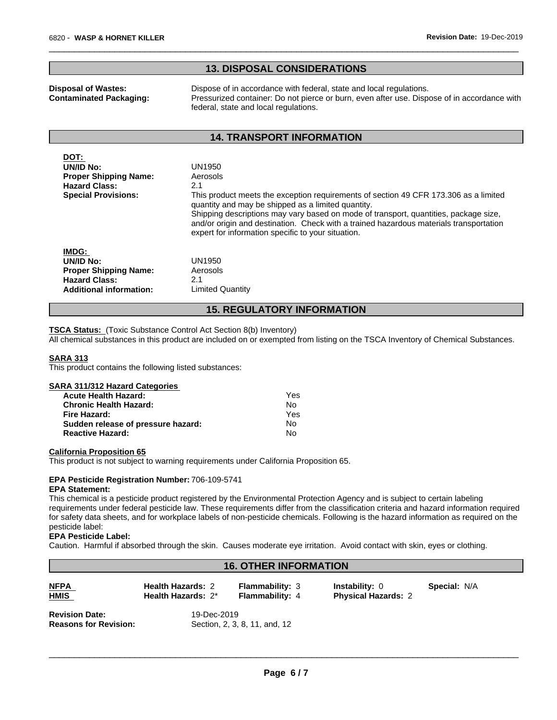### **13. DISPOSAL CONSIDERATIONS**

**Disposal of Wastes:** Dispose of in accordance with federal, state and local regulations. **Contaminated Packaging:** Pressurized container: Do not pierce or burn, even after use. Dispose of in accordance with federal, state and local regulations.

 $\overline{\phantom{a}}$  ,  $\overline{\phantom{a}}$  ,  $\overline{\phantom{a}}$  ,  $\overline{\phantom{a}}$  ,  $\overline{\phantom{a}}$  ,  $\overline{\phantom{a}}$  ,  $\overline{\phantom{a}}$  ,  $\overline{\phantom{a}}$  ,  $\overline{\phantom{a}}$  ,  $\overline{\phantom{a}}$  ,  $\overline{\phantom{a}}$  ,  $\overline{\phantom{a}}$  ,  $\overline{\phantom{a}}$  ,  $\overline{\phantom{a}}$  ,  $\overline{\phantom{a}}$  ,  $\overline{\phantom{a}}$ 

### **14. TRANSPORT INFORMATION**

| DOT:                           |                                                                                                                                                                                                                                                                                                                                                                                    |  |  |  |
|--------------------------------|------------------------------------------------------------------------------------------------------------------------------------------------------------------------------------------------------------------------------------------------------------------------------------------------------------------------------------------------------------------------------------|--|--|--|
| UN/ID No:                      | UN1950                                                                                                                                                                                                                                                                                                                                                                             |  |  |  |
| <b>Proper Shipping Name:</b>   | Aerosols                                                                                                                                                                                                                                                                                                                                                                           |  |  |  |
| <b>Hazard Class:</b>           | 2.1                                                                                                                                                                                                                                                                                                                                                                                |  |  |  |
| <b>Special Provisions:</b>     | This product meets the exception requirements of section 49 CFR 173.306 as a limited<br>quantity and may be shipped as a limited quantity.<br>Shipping descriptions may vary based on mode of transport, quantities, package size,<br>and/or origin and destination. Check with a trained hazardous materials transportation<br>expert for information specific to your situation. |  |  |  |
| <b>IMDG:</b>                   |                                                                                                                                                                                                                                                                                                                                                                                    |  |  |  |
| UN/ID No:                      | UN1950                                                                                                                                                                                                                                                                                                                                                                             |  |  |  |
| <b>Proper Shipping Name:</b>   | Aerosols                                                                                                                                                                                                                                                                                                                                                                           |  |  |  |
| <b>Hazard Class:</b>           | 2.1                                                                                                                                                                                                                                                                                                                                                                                |  |  |  |
| <b>Additional information:</b> | <b>Limited Quantity</b>                                                                                                                                                                                                                                                                                                                                                            |  |  |  |
| --<br>BEAUL LEARVILLEARLLATIAU |                                                                                                                                                                                                                                                                                                                                                                                    |  |  |  |

### **15. REGULATORY INFORMATION**

**TSCA Status:** (Toxic Substance Control Act Section 8(b) Inventory)

**Sudden release of pressure hazard:** No **Reactive Hazard:** No

All chemical substances in this product are included on or exempted from listing on the TSCA Inventory of Chemical Substances.

### **SARA 313**

This product contains the following listed substances:

| SARA 311/312 Hazard Categories |     |  |
|--------------------------------|-----|--|
| <b>Acute Health Hazard:</b>    | Yes |  |
| <b>Chronic Health Hazard:</b>  | Nο  |  |
| Fire Hazard:                   | Yes |  |

### **California Proposition 65**

This product is not subject to warning requirements under California Proposition 65.

### **EPA Pesticide Registration Number:** 706-109-5741

### **EPA Statement:**

This chemical is a pesticide product registered by the Environmental Protection Agency and is subject to certain labeling requirements under federal pesticide law. These requirements differ from the classification criteria and hazard information required for safety data sheets, and for workplace labels of non-pesticide chemicals. Following is the hazard information as required on the pesticide label:

### **EPA Pesticide Label:**

Caution. Harmful if absorbed through the skin. Causes moderate eye irritation. Avoid contact with skin, eyes or clothing.

### **16. OTHER INFORMATION**

| <b>NFPA</b><br><b>HMIS</b>                            | <b>Health Hazards: 2</b><br>Health Hazards: 2* | <b>Flammability: 3</b><br><b>Flammability: 4</b> | <b>Instability: 0</b><br><b>Physical Hazards: 2</b> | <b>Special: N/A</b> |  |
|-------------------------------------------------------|------------------------------------------------|--------------------------------------------------|-----------------------------------------------------|---------------------|--|
| <b>Revision Date:</b><br><b>Reasons for Revision:</b> | 19-Dec-2019<br>Section, 2, 3, 8, 11, and, 12   |                                                  |                                                     |                     |  |

 $\overline{\phantom{a}}$  ,  $\overline{\phantom{a}}$  ,  $\overline{\phantom{a}}$  ,  $\overline{\phantom{a}}$  ,  $\overline{\phantom{a}}$  ,  $\overline{\phantom{a}}$  ,  $\overline{\phantom{a}}$  ,  $\overline{\phantom{a}}$  ,  $\overline{\phantom{a}}$  ,  $\overline{\phantom{a}}$  ,  $\overline{\phantom{a}}$  ,  $\overline{\phantom{a}}$  ,  $\overline{\phantom{a}}$  ,  $\overline{\phantom{a}}$  ,  $\overline{\phantom{a}}$  ,  $\overline{\phantom{a}}$